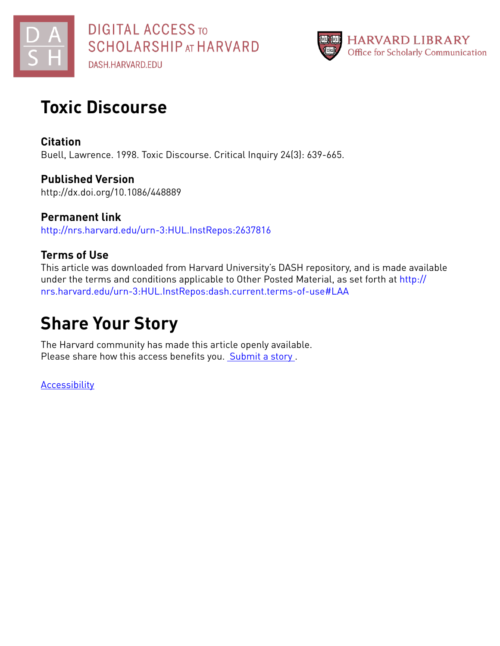



## **Toxic Discourse**

**Citation** Buell, Lawrence. 1998. Toxic Discourse. Critical Inquiry 24(3): 639-665.

**Published Version** http://dx.doi.org/10.1086/448889

**Permanent link** <http://nrs.harvard.edu/urn-3:HUL.InstRepos:2637816>

### **Terms of Use**

This article was downloaded from Harvard University's DASH repository, and is made available under the terms and conditions applicable to Other Posted Material, as set forth at [http://](http://nrs.harvard.edu/urn-3:HUL.InstRepos:dash.current.terms-of-use#LAA) [nrs.harvard.edu/urn-3:HUL.InstRepos:dash.current.terms-of-use#LAA](http://nrs.harvard.edu/urn-3:HUL.InstRepos:dash.current.terms-of-use#LAA)

# **Share Your Story**

The Harvard community has made this article openly available. Please share how this access benefits you. [Submit](http://osc.hul.harvard.edu/dash/open-access-feedback?handle=&title=Toxic%20Discourse&community=1/1&collection=1/2&owningCollection1/2&harvardAuthors=71d4cf2d1a5b62b1b109c7afac3b811f&departmentEnglish%20and%20American%20Literature%20and%20Language) a story.

**[Accessibility](https://dash.harvard.edu/pages/accessibility)**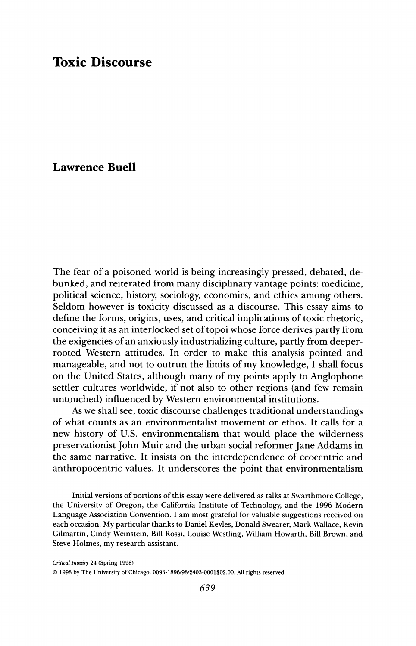### **Toxic Discourse**

#### **Lawrence Buell**

**The fear of a poisoned world is being increasingly pressed, debated, debunked, and reiterated from many disciplinary vantage points: medicine, political science, history, sociology, economics, and ethics among others. Seldom however is toxicity discussed as a discourse. This essay aims to define the forms, origins, uses, and critical implications of toxic rhetoric, conceiving it as an interlocked set of topoi whose force derives partly from the exigencies of an anxiously industrializing culture, partly from deeperrooted Western attitudes. In order to make this analysis pointed and manageable, and not to outrun the limits of my knowledge, I shall focus on the United States, although many of my points apply to Anglophone settler cultures worldwide, if not also to other regions (and few remain untouched) influenced by Western environmental institutions.** 

**As we shall see, toxic discourse challenges traditional understandings of what counts as an environmentalist movement or ethos. It calls for a new history of U.S. environmentalism that would place the wilderness preservationist John Muir and the urban social reformer Jane Addams in the same narrative. It insists on the interdependence of ecocentric and anthropocentric values. It underscores the point that environmentalism** 

**Initial versions of portions of this essay were delivered as talks at Swarthmore College, the University of Oregon, the California Institute of Technology, and the 1996 Modern Language Association Convention. I am most grateful for valuable suggestions received on each occasion. My particular thanks to Daniel Kevles, Donald Swearer, Mark Wallace, Kevin Gilmartin, Cindy Weinstein, Bill Rossi, Louise Westling, William Howarth, Bill Brown, and Steve Holmes, my research assistant.** 

**<sup>? 1998</sup> by The University of Chicago. 0093-1896/98/2403-0001\$02.00. All rights reserved.**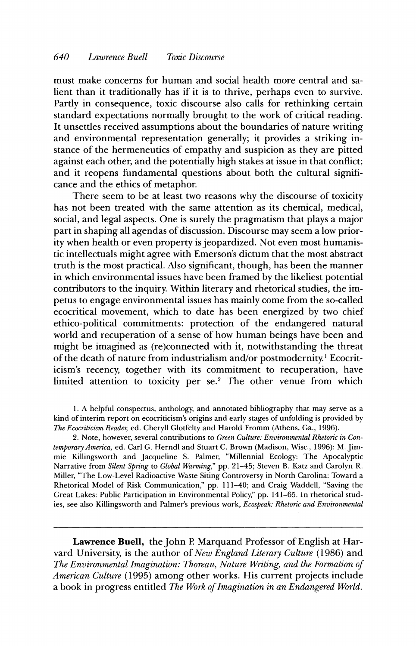**must make concerns for human and social health more central and salient than it traditionally has if it is to thrive, perhaps even to survive. Partly in consequence, toxic discourse also calls for rethinking certain standard expectations normally brought to the work of critical reading. It unsettles received assumptions about the boundaries of nature writing and environmental representation generally; it provides a striking instance of the hermeneutics of empathy and suspicion as they are pitted against each other, and the potentially high stakes at issue in that conflict; and it reopens fundamental questions about both the cultural significance and the ethics of metaphor.** 

**There seem to be at least two reasons why the discourse of toxicity has not been treated with the same attention as its chemical, medical, social, and legal aspects. One is surely the pragmatism that plays a major part in shaping all agendas of discussion. Discourse may seem a low priority when health or even property is jeopardized. Not even most humanistic intellectuals might agree with Emerson's dictum that the most abstract truth is the most practical. Also significant, though, has been the manner in which environmental issues have been framed by the likeliest potential contributors to the inquiry. Within literary and rhetorical studies, the impetus to engage environmental issues has mainly come from the so-called ecocritical movement, which to date has been energized by two chief ethico-political commitments: protection of the endangered natural world and recuperation of a sense of how human beings have been and might be imagined as (re)connected with it, notwithstanding the threat of the death of nature from industrialism and/or postmodernity.1 Ecocriticism's recency, together with its commitment to recuperation, have limited attention to toxicity per se.2 The other venue from which** 

**1. A helpful conspectus, anthology, and annotated bibliography that may serve as a kind of interim report on ecocriticism's origins and early stages of unfolding is provided by The Ecocriticism Reader, ed. Cheryll Glotfelty and Harold Fromm (Athens, Ga., 1996).** 

**2. Note, however, several contributions to Green Culture: Environmental Rhetoric in Contemporary America, ed. Carl G. Herndl and Stuart C. Brown (Madison, Wisc., 1996): M. Jimmie Killingsworth and Jacqueline S. Palmer, "Millennial Ecology: The Apocalyptic Narrative from Silent Spring to Global Warming," pp. 21-45; Steven B. Katz and Carolyn R. Miller, "The Low-Level Radioactive Waste Siting Controversy in North Carolina: Toward a Rhetorical Model of Risk Communication," pp. 111-40; and Craig Waddell, "Saving the Great Lakes: Public Participation in Environmental Policy," pp. 141-65. In rhetorical studies, see also Killingsworth and Palmer's previous work, Ecospeak: Rhetoric and Environmental** 

Lawrence Buell, the John P. Marquand Professor of English at Har**vard University, is the author of New England Literary Culture (1986) and The Environmental Imagination: Thoreau, Nature Writing, and the Formation of American Culture (1995) among other works. His current projects include a book in progress entitled The Work of Imagination in an Endangered World.**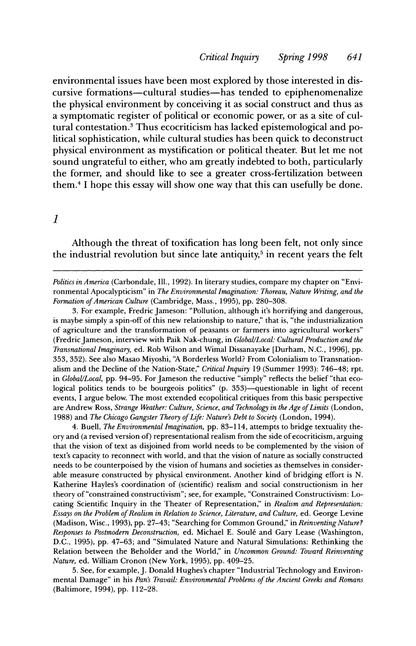**environmental issues have been most explored by those interested in discursive formations-cultural studies-has tended to epiphenomenalize the physical environment by conceiving it as social construct and thus as a symptomatic register of political or economic power, or as a site of cultural contestation.3 Thus ecocriticism has lacked epistemological and political sophistication, while cultural studies has been quick to deconstruct physical environment as mystification or political theater. But let me not sound ungrateful to either, who am greatly indebted to both, particularly the former, and should like to see a greater cross-fertilization between them.4 I hope this essay will show one way that this can usefully be done.** 

#### $\mathcal{I}$

**Although the threat of toxification has long been felt, not only since**  the industrial revolution but since late antiquity,<sup>5</sup> in recent years the felt

**Politics in America (Carbondale, Ill., 1992). In literary studies, compare my chapter on "Environmental Apocalypticism" in The Environmental Imagination: Thoreau, Nature Writing, and the Formation of American Culture (Cambridge, Mass., 1995), pp. 280-308.** 

**3. For example, Fredric Jameson: "Pollution, although it's horrifying and dangerous, is maybe simply a spin-off of this new relationship to nature," that is, "the industrialization of agriculture and the transformation of peasants or farmers into agricultural workers" (Fredric Jameson, interview with Paik Nak-chung, in Global/Local: Cultural Production and the Transnational Imaginary, ed. Rob Wilson and Wimal Dissanayake [Durham, N.C., 1996], pp. 353, 352). See also Masao Miyoshi, "A Borderless World? From Colonialism to Transnationalism and the Decline of the Nation-State," Critical Inquiry 19 (Summer 1993): 746-48; rpt. in Global/Local, pp. 94-95. For Jameson the reductive "simply" reflects the belief "that eco**logical politics tends to be bourgeois politics" (p. 353)-questionable in light of recent **events, I argue below. The most extended ecopolitical critiques from this basic perspective are Andrew Ross, Strange Weather: Culture, Science, and Technology in the Age of Limits (London, 1988) and The Chicago Gangster Theory of Life: Nature's Debt to Society (London, 1994).** 

**4. Buell, The Environmental Imagination, pp. 83-114, attempts to bridge textuality theory and (a revised version of) representational realism from the side of ecocriticism, arguing that the vision of text as disjoined from world needs to be complemented by the vision of text's capacity to reconnect with world, and that the vision of nature as socially constructed needs to be counterpoised by the vision of humans and societies as themselves in considerable measure constructed by physical environment. Another kind of bridging effort is N. Katherine Hayles's coordination of (scientific) realism and social constructionism in her theory of"constrained constructivism"; see, for example, "Constrained Constructivism: Locating Scientific Inquiry in the Theater of Representation," in Realism and Representation: Essays on the Problem of Realism in Relation to Science, Literature, and Culture, ed. George Levine (Madison, Wisc., 1993), pp. 27-43; "Searching for Common Ground," in Reinventing Nature? Responses to Postmodern Deconstruction, ed. Michael E. Soule and Gary Lease (Washington, D.C., 1995), pp. 47-63; and "Simulated Nature and Natural Simulations: Rethinking the Relation between the Beholder and the World," in Uncommon Ground: Toward Reinventing Nature, ed. William Cronon (New York, 1995), pp. 409-25.** 

**5. See, for example, J. Donald Hughes's chapter "Industrial Technology and Environmental Damage" in his Pan's Travail: Environmental Problems of the Ancient Greeks and Romans (Baltimore, 1994), pp. 112-28.**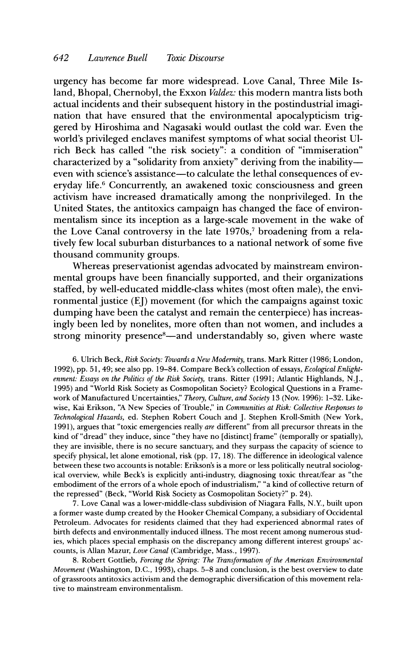**urgency has become far more widespread. Love Canal, Three Mile Island, Bhopal, Chernobyl, the Exxon Valdez: this modern mantra lists both actual incidents and their subsequent history in the postindustrial imagination that have ensured that the environmental apocalypticism triggered by Hiroshima and Nagasaki would outlast the cold war. Even the world's privileged enclaves manifest symptoms of what social theorist Ulrich Beck has called "the risk society": a condition of "immiseration" characterized by a "solidarity from anxiety" deriving from the inability**even with science's assistance—to calculate the lethal consequences of ev**eryday life.6 Concurrently, an awakened toxic consciousness and green activism have increased dramatically among the nonprivileged. In the United States, the antitoxics campaign has changed the face of environmentalism since its inception as a large-scale movement in the wake of the Love Canal controversy in the late 1970s,7 broadening from a relatively few local suburban disturbances to a national network of some five thousand community groups.** 

**Whereas preservationist agendas advocated by mainstream environmental groups have been financially supported, and their organizations staffed, by well-educated middle-class whites (most often male), the environmental justice (EJ) movement (for which the campaigns against toxic dumping have been the catalyst and remain the centerpiece) has increasingly been led by nonelites, more often than not women, and includes a strong minority presence8-and understandably so, given where waste** 

**6. Ulrich Beck, Risk Society: Towards a New Modernity, trans. Mark Ritter (1986; London, 1992), pp. 51, 49; see also pp. 19-84. Compare Beck's collection of essays, Ecological Enlightenment: Essays on the Politics of the Risk Society, trans. Ritter (1991; Atlantic Highlands, N.J., 1995) and "World Risk Society as Cosmopolitan Society? Ecological Questions in a Framework of Manufactured Uncertainties," Theory, Culture, and Society 13 (Nov. 1996): 1-32. Likewise, Kai Erikson, "A New Species of Trouble," in Communities at Risk: Collective Responses to Technological Hazards, ed. Stephen Robert Couch and J. Stephen Kroll-Smith (New York, 1991), argues that "toxic emergencies really are different" from all precursor threats in the kind of"dread" they induce, since "they have no [distinct] frame" (temporally or spatially), they are invisible, there is no secure sanctuary, and they surpass the capacity of science to specify physical, let alone emotional, risk (pp. 17, 18). The difference in ideological valence between these two accounts is notable: Erikson's is a more or less politically neutral sociological overview, while Beck's is explicitly anti-industry, diagnosing toxic threat/fear as "the embodiment of the errors of a whole epoch of industrialism," "a kind of collective return of the repressed" (Beck, "World Risk Society as Cosmopolitan Society?" p. 24).** 

**7. Love Canal was a lower-middle-class subdivision of Niagara Falls, N.Y., built upon a former waste dump created by the Hooker Chemical Company, a subsidiary of Occidental Petroleum. Advocates for residents claimed that they had experienced abnormal rates of birth defects and environmentally induced illness. The most recent among numerous studies, which places special emphasis on the discrepancy among different interest groups' accounts, is Allan Mazur, Love Canal (Cambridge, Mass., 1997).** 

**8. Robert Gottlieb, Forcing the Spring: The Transformation of the American Environmental Movement (Washington, D.C., 1993), chaps. 5-8 and conclusion, is the best overview to date of grassroots antitoxics activism and the demographic diversification of this movement relative to mainstream environmentalism.**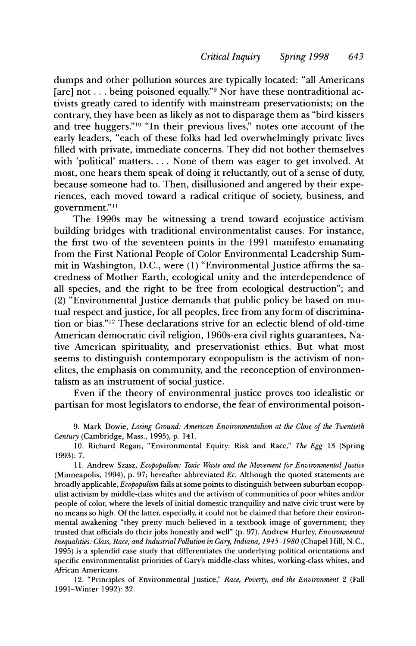**dumps and other pollution sources are typically located: "all Americans [are] not ... being poisoned equally."9 Nor have these nontraditional activists greatly cared to identify with mainstream preservationists; on the contrary, they have been as likely as not to disparage them as "bird kissers and tree huggers."10 "In their previous lives," notes one account of the early leaders, "each of these folks had led overwhelmingly private lives filled with private, immediate concerns. They did not bother themselves with 'political' matters.... None of them was eager to get involved. At most, one hears them speak of doing it reluctantly, out of a sense of duty, because someone had to. Then, disillusioned and angered by their experiences, each moved toward a radical critique of society, business, and government." <sup>1</sup>**

**The 1990s may be witnessing a trend toward ecojustice activism building bridges with traditional environmentalist causes. For instance, the first two of the seventeen points in the 1991 manifesto emanating from the First National People of Color Environmental Leadership Summit in Washington, D.C., were (1) "Environmental Justice affirms the sacredness of Mother Earth, ecological unity and the interdependence of all species, and the right to be free from ecological destruction"; and (2) "Environmental Justice demands that public policy be based on mutual respect and justice, for all peoples, free from any form of discrimination or bias."'2 These declarations strive for an eclectic blend of old-time American democratic civil religion, 1960s-era civil rights guarantees, Native American spirituality, and preservationist ethics. But what most seems to distinguish contemporary ecopopulism is the activism of nonelites, the emphasis on community, and the reconception of environmentalism as an instrument of social justice.** 

**Even if the theory of environmental justice proves too idealistic or partisan for most legislators to endorse, the fear of environmental poison-**

**9. Mark Dowie, Losing Ground: American Environmentalism at the Close of the Twentieth Century (Cambridge, Mass., 1995), p. 141.** 

**10. Richard Regan, "Environmental Equity: Risk and Race," The Egg 13 (Spring 1993): 7.** 

**11. Andrew Szasz, Ecopopulism: Toxic Waste and the Movement for Environmental Justice (Minneapolis, 1994), p. 97; hereafter abbreviated Ec. Although the quoted statements are broadly applicable, Ecopopulism fails at some points to distinguish between suburban ecopopulist activism by middle-class whites and the activism of communities of poor whites and/or people of color, where the levels of initial domestic tranquility and naive civic trust were by no means so high. Of the latter, especially, it could not be claimed that before their environmental awakening "they pretty much believed in a textbook image of government; they trusted that officials do their jobs honestly and well" (p. 97). Andrew Hurley, Environmental Inequalities: Class, Race, and Industrial Pollution in Gary, Indiana, 1945-1980 (Chapel Hill, N.C., 1995) is a splendid case study that differentiates the underlying political orientations and specific environmentalist priorities of Gary's middle-class whites, working-class whites, and African Americans.** 

**12. "Principles of Environmental Justice," Race, Poverty, and the Environment 2 (Fall 1991-Winter 1992): 32.**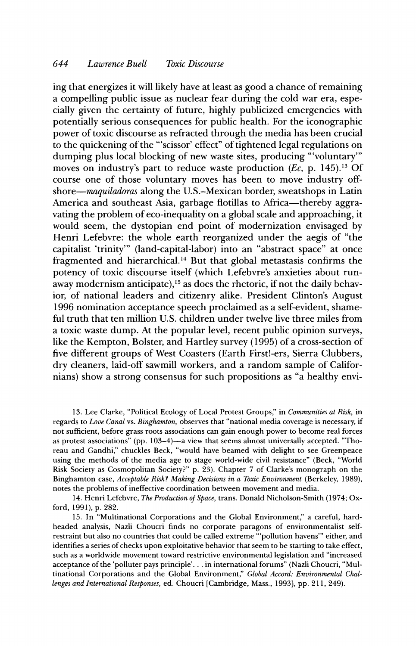**ing that energizes it will likely have at least as good a chance of remaining a compelling public issue as nuclear fear during the cold war era, especially given the certainty of future, highly publicized emergencies with potentially serious consequences for public health. For the iconographic power of toxic discourse as refracted through the media has been crucial to the quickening of the "'scissor' effect" of tightened legal regulations on dumping plus local blocking of new waste sites, producing "'voluntary"'**  moves on industry's part to reduce waste production (*Ec*, p. 145).<sup>13</sup> Of **course one of those voluntary moves has been to move industry offshore-maquiladoras along the U.S.-Mexican border, sweatshops in Latin**  America and southeast Asia, garbage flotillas to Africa—thereby aggra**vating the problem of eco-inequality on a global scale and approaching, it would seem, the dystopian end point of modernization envisaged by Henri Lefebvre: the whole earth reorganized under the aegis of "the capitalist 'trinity"' (land-capital-labor) into an "abstract space" at once fragmented and hierarchical.14 But that global metastasis confirms the potency of toxic discourse itself (which Lefebvre's anxieties about run**away modernism anticipate),<sup>15</sup> as does the rhetoric, if not the daily behav**ior, of national leaders and citizenry alike. President Clinton's August 1996 nomination acceptance speech proclaimed as a self-evident, shameful truth that ten million U.S. children under twelve live three miles from a toxic waste dump. At the popular level, recent public opinion surveys, like the Kempton, Bolster, and Hartley survey (1995) of a cross-section of five different groups of West Coasters (Earth First!-ers, Sierra Clubbers, dry cleaners, laid-off sawmill workers, and a random sample of Californians) show a strong consensus for such propositions as "a healthy envi-**

**13. Lee Clarke, "Political Ecology of Local Protest Groups," in Communities at Risk, in regards to Love Canal vs. Binghamton, observes that "national media coverage is necessary, if not sufficient, before grass roots associations can gain enough power to become real forces**  as protest associations" (pp. 103-4)-a view that seems almost universally accepted. "Tho**reau and Gandhi," chuckles Beck, "would have beamed with delight to see Greenpeace using the methods of the media age to stage world-wide civil resistance" (Beck, "World Risk Society as Cosmopolitan Society?" p. 23). Chapter 7 of Clarke's monograph on the Binghamton case, Acceptable Risk? Making Decisions in a Toxic Environment (Berkeley, 1989), notes the problems of ineffective coordination between movement and media.** 

**14. Henri Lefebvre, The Production of Space, trans. Donald Nicholson-Smith (1974; Oxford, 1991), p. 282.** 

**15. In "Multinational Corporations and the Global Environment," a careful, hardheaded analysis, Nazli Choucri finds no corporate paragons of environmentalist selfrestraint but also no countries that could be called extreme "'pollution havens"' either, and identifies a series of checks upon exploitative behavior that seem to be starting to take effect, such as a worldwide movement toward restrictive environmental legislation and "increased acceptance of the 'polluter pays principle'. . . in international forums" (Nazli Choucri, "Multinational Corporations and the Global Environment," Global Accord: Environmental Challenges and International Responses, ed. Choucri [Cambridge, Mass., 1993], pp. 211, 249).**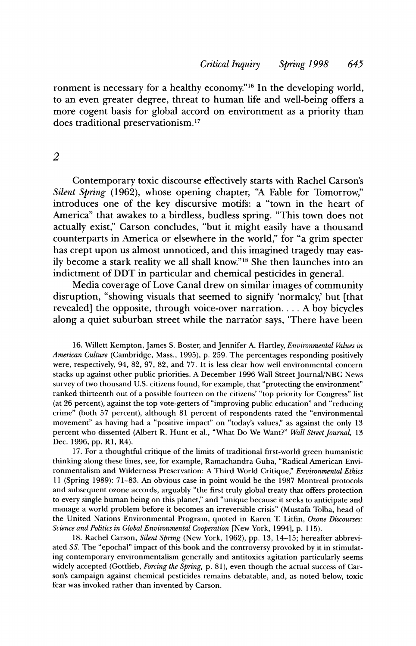**ronment is necessary for a healthy economy."'6 In the developing world, to an even greater degree, threat to human life and well-being offers a more cogent basis for global accord on environment as a priority than does traditional preservationism.'7** 

#### **2**

**Contemporary toxic discourse effectively starts with Rachel Carson's Silent Spring (1962), whose opening chapter, "A Fable for Tomorrow," introduces one of the key discursive motifs: a "town in the heart of America" that awakes to a birdless, budless spring. "This town does not actually exist," Carson concludes, "but it might easily have a thousand counterparts in America or elsewhere in the world," for "a grim specter has crept upon us almost unnoticed, and this imagined tragedy may easily become a stark reality we all shall know."'8 She then launches into an indictment of DDT in particular and chemical pesticides in general.** 

**Media coverage of Love Canal drew on similar images of community disruption, "showing visuals that seemed to signify 'normalcy,' but [that revealed] the opposite, through voice-over narration.... A boy bicycles along a quiet suburban street while the narrator says, 'There have been** 

**16. Willett Kempton, James S. Boster, and Jennifer A. Hartley, Environmental Values in American Culture (Cambridge, Mass., 1995), p. 259. The percentages responding positively were, respectively, 94, 82, 97, 82, and 77. It is less clear how well environmental concern stacks up against other public priorities. A December 1996 Wall Street Journal/NBC News survey of two thousand U.S. citizens found, for example, that "protecting the environment" ranked thirteenth out of a possible fourteen on the citizens' "top priority for Congress" list (at 26 percent), against the top vote-getters of "improving public education" and "reducing crime" (both 57 percent), although 81 percent of respondents rated the "environmental movement" as having had a "positive impact" on "today's values," as against the only 13**  percent who dissented (Albert R. Hunt et al., "What Do We Want?" Wall Street Journal, 13 **Dec. 1996, pp. R1, R4).** 

**17. For a thoughtful critique of the limits of traditional first-world green humanistic thinking along these lines, see, for example, Ramachandra Guha, "Radical American Environmentalism and Wilderness Preservation: A Third World Critique," Environmental Ethics 11 (Spring 1989): 71-83. An obvious case in point would be the 1987 Montreal protocols and subsequent ozone accords, arguably "the first truly global treaty that offers protection to every single human being on this planet," and "unique because it seeks to anticipate and manage a world problem before it becomes an irreversible crisis" (Mustafa Tolba, head of the United Nations Environmental Program, quoted in Karen T. Litfin, Ozone Discourses: Science and Politics in Global Environmental Cooperation [New York, 1994], p. 115).** 

**18. Rachel Carson, Silent Spring (New York, 1962), pp. 13, 14-15; hereafter abbreviated SS. The "epochal" impact of this book and the controversy provoked by it in stimulating contemporary environmentalism generally and antitoxics agitation particularly seems widely accepted (Gottlieb, Forcing the Spring, p. 81), even though the actual success of Carson's campaign against chemical pesticides remains debatable, and, as noted below, toxic fear was invoked rather than invented by Carson.**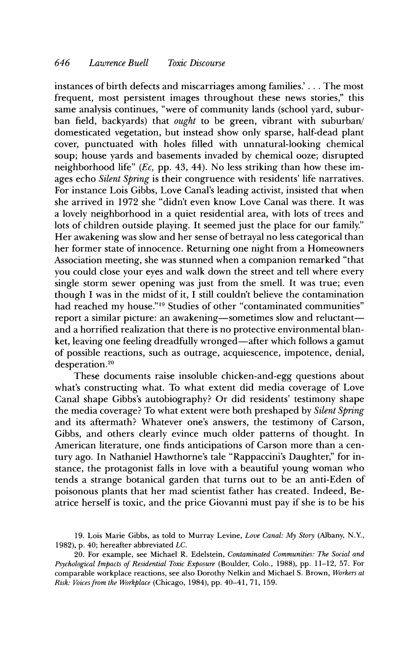**instances of birth defects and miscarriages among families.'. . . The most frequent, most persistent images throughout these news stories," this same analysis continues, "were of community lands (school yard, suburban field, backyards) that ought to be green, vibrant with suburban/ domesticated vegetation, but instead show only sparse, half-dead plant cover, punctuated with holes filled with unnatural-looking chemical soup; house yards and basements invaded by chemical ooze; disrupted neighborhood life" (Ec, pp. 43, 44). No less striking than how these images echo Silent Spring is their congruence with residents' life narratives. For instance Lois Gibbs, Love Canal's leading activist, insisted that when she arrived in 1972 she "didn't even know Love Canal was there. It was a lovely neighborhood in a quiet residential area, with lots of trees and lots of children outside playing. It seemed just the place for our family." Her awakening was slow and her sense of betrayal no less categorical than her former state of innocence. Returning one night from a Homeowners Association meeting, she was stunned when a companion remarked "that you could close your eyes and walk down the street and tell where every single storm sewer opening was just from the smell. It was true; even though I was in the midst of it, I still couldn't believe the contamination had reached my house."19 Studies of other "contaminated communities"**  report a similar picture: an awakening—sometimes slow and reluctant **and a horrified realization that there is no protective environmental blanket, leaving one feeling dreadfully wronged-after which follows a gamut of possible reactions, such as outrage, acquiescence, impotence, denial, desperation.20** 

**These documents raise insoluble chicken-and-egg questions about what's constructing what. To what extent did media coverage of Love Canal shape Gibbs's autobiography? Or did residents' testimony shape the media coverage? To what extent were both preshaped by Silent Spring and its aftermath? Whatever one's answers, the testimony of Carson, Gibbs, and others clearly evince much older patterns of thought. In American literature, one finds anticipations of Carson more than a century ago. In Nathaniel Hawthorne's tale "Rappaccini's Daughter," for instance, the protagonist falls in love with a beautiful young woman who tends a strange botanical garden that turns out to be an anti-Eden of poisonous plants that her mad scientist father has created. Indeed, Beatrice herself is toxic, and the price Giovanni must pay if she is to be his** 

**<sup>19.</sup> Lois Marie Gibbs, as told to Murray Levine, Love Canal: My Story (Albany, N.Y., 1982), p. 40; hereafter abbreviated LC.** 

**<sup>20.</sup> For example, see Michael R. Edelstein, Contaminated Communities: The Social and Psychological Impacts of Residential Toxic Exposure (Boulder, Colo., 1988), pp. 11-12, 57. For comparable workplace reactions, see also Dorothy Nelkin and Michael S. Brown, Workers at Risk: Voices from the Workplace (Chicago, 1984), pp. 40-41, 71, 159.**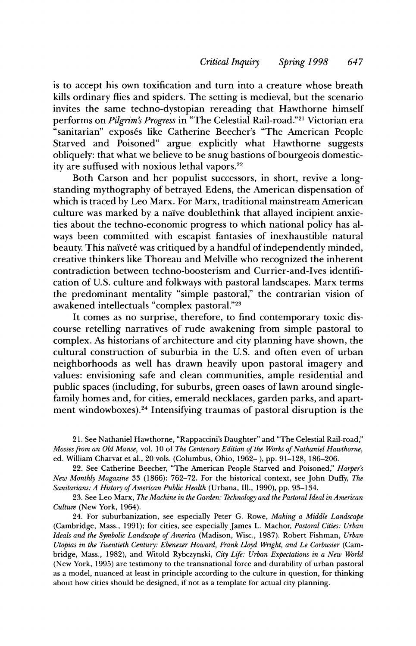**is to accept his own toxification and turn into a creature whose breath kills ordinary flies and spiders. The setting is medieval, but the scenario invites the same techno-dystopian rereading that Hawthorne himself performs on Pilgrim's Progress in "The Celestial Rail-road."21 Victorian era**  "sanitarian" exposés like Catherine Beecher's "The American People **Starved and Poisoned" argue explicitly what Hawthorne suggests obliquely: that what we believe to be snug bastions of bourgeois domesticity are suffused with noxious lethal vapors.22** 

**Both Carson and her populist successors, in short, revive a longstanding mythography of betrayed Edens, the American dispensation of which is traced by Leo Marx. For Marx, traditional mainstream American culture was marked by a naive doublethink that allayed incipient anxieties about the techno-economic progress to which national policy has always been committed with escapist fantasies of inexhaustible natural**  beauty. This naïveté was critiqued by a handful of independently minded, **creative thinkers like Thoreau and Melville who recognized the inherent contradiction between techno-boosterism and Currier-and-Ives identification of U.S. culture and folkways with pastoral landscapes. Marx terms the predominant mentality "simple pastoral," the contrarian vision of awakened intellectuals "complex pastoral."23** 

**It comes as no surprise, therefore, to find contemporary toxic discourse retelling narratives of rude awakening from simple pastoral to complex. As historians of architecture and city planning have shown, the cultural construction of suburbia in the U.S. and often even of urban neighborhoods as well has drawn heavily upon pastoral imagery and values: envisioning safe and clean communities, ample residential and public spaces (including, for suburbs, green oases of lawn around singlefamily homes and, for cities, emerald necklaces, garden parks, and apartment windowboxes).24 Intensifying traumas of pastoral disruption is the** 

**21. See Nathaniel Hawthorne, "Rappaccini's Daughter" and "The Celestial Rail-road," Mosses from an Old Manse, vol. 10 of The Centenary Edition of the Works of Nathaniel Hawthorne, ed. William Charvat et al., 20 vols. (Columbus, Ohio, 1962- ), pp. 91-128, 186-206.** 

**22. See Catherine Beecher, "The American People Starved and Poisoned," Harper's New Monthly Magazine 33 (1866): 762-72. For the historical context, see John Duffy, The Sanitarians: A History of American Public Health (Urbana, Ill., 1990), pp. 93-134.** 

**23. See Leo Marx, The Machine in the Garden: Technology and the Pastoral Ideal in American Culture (New York, 1964).** 

**24. For suburbanization, see especially Peter G. Rowe, Making a Middle Landscape (Cambridge, Mass., 1991); for cities, see especially James L. Machor, Pastoral Cities: Urban Ideals and the Symbolic Landscape of America (Madison, Wisc., 1987). Robert Fishman, Urban Utopias in the Twentieth Century: Ebenezer Howard, Frank Lloyd Wright, and Le Corbusier (Cambridge, Mass., 1982), and Witold Rybczynski, City Life: Urban Expectations in a New World (New York, 1995) are testimony to the transnational force and durability of urban pastoral as a model, nuanced at least in principle according to the culture in question, for thinking about how cities should be designed, if not as a template for actual city planning.**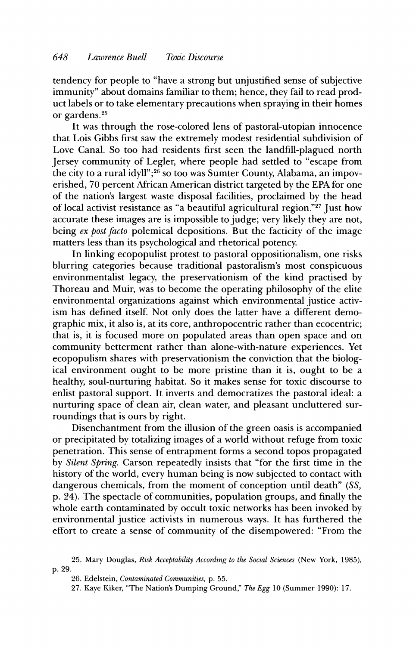**tendency for people to "have a strong but unjustified sense of subjective immunity" about domains familiar to them; hence, they fail to read product labels or to take elementary precautions when spraying in their homes or gardens.25** 

**It was through the rose-colored lens of pastoral-utopian innocence that Lois Gibbs first saw the extremely modest residential subdivision of Love Canal. So too had residents first seen the landfill-plagued north Jersey community of Legler, where people had settled to "escape from the city to a rural idyll";26 so too was Sumter County, Alabama, an impoverished, 70 percent African American district targeted by the EPA for one of the nation's largest waste disposal facilities, proclaimed by the head of local activist resistance as "a beautiful agricultural region."27 Just how accurate these images are is impossible to judge; very likely they are not, being ex post facto polemical depositions. But the facticity of the image matters less than its psychological and rhetorical potency.** 

**In linking ecopopulist protest to pastoral oppositionalism, one risks blurring categories because traditional pastoralism's most conspicuous environmentalist legacy, the preservationism of the kind practised by Thoreau and Muir, was to become the operating philosophy of the elite environmental organizations against which environmental justice activism has defined itself. Not only does the latter have a different demographic mix, it also is, at its core, anthropocentric rather than ecocentric; that is, it is focused more on populated areas than open space and on community betterment rather than alone-with-nature experiences. Yet ecopopulism shares with preservationism the conviction that the biological environment ought to be more pristine than it is, ought to be a healthy, soul-nurturing habitat. So it makes sense for toxic discourse to enlist pastoral support. It inverts and democratizes the pastoral ideal: a nurturing space of clean air, clean water, and pleasant uncluttered surroundings that is ours by right.** 

**Disenchantment from the illusion of the green oasis is accompanied or precipitated by totalizing images of a world without refuge from toxic penetration. This sense of entrapment forms a second topos propagated by Silent Spring. Carson repeatedly insists that "for the first time in the history of the world, every human being is now subjected to contact with dangerous chemicals, from the moment of conception until death" (SS, p. 24). The spectacle of communities, population groups, and finally the whole earth contaminated by occult toxic networks has been invoked by environmental justice activists in numerous ways. It has furthered the effort to create a sense of community of the disempowered: "From the** 

**<sup>25.</sup> Mary Douglas, Risk Acceptability According to the Social Sciences (New York, 1985), p. 29.** 

**<sup>26.</sup> Edelstein, Contaminated Communities, p. 55.** 

**<sup>27.</sup> Kaye Kiker, "The Nation's Dumping Ground," The Egg 10 (Summer 1990): 17.**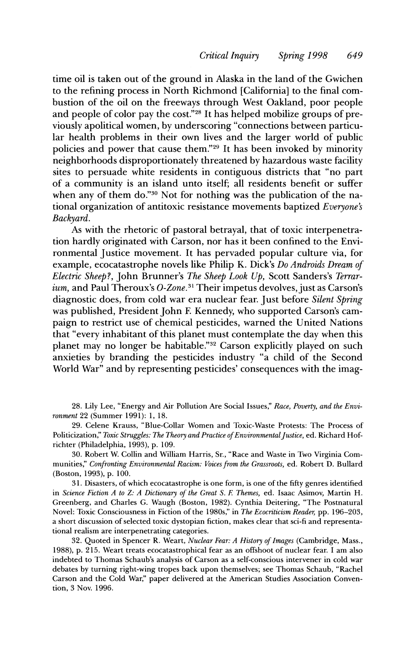**time oil is taken out of the ground in Alaska in the land of the Gwichen to the refining process in North Richmond [California] to the final combustion of the oil on the freeways through West Oakland, poor people and people of color pay the cost."28 It has helped mobilize groups of previously apolitical women, by underscoring "connections between particular health problems in their own lives and the larger world of public policies and power that cause them."29 It has been invoked by minority neighborhoods disproportionately threatened by hazardous waste facility sites to persuade white residents in contiguous districts that "no part of a community is an island unto itself; all residents benefit or suffer when any of them do."30 Not for nothing was the publication of the national organization of antitoxic resistance movements baptized Everyone's Backyard.** 

**As with the rhetoric of pastoral betrayal, that of toxic interpenetration hardly originated with Carson, nor has it been confined to the Environmental Justice movement. It has pervaded popular culture via, for example, ecocatastrophe novels like Philip K. Dick's Do Androids Dream of Electric Sheep?, John Brunner's The Sheep Look Up, Scott Sanders's Terrarium, and Paul Theroux's O-Zone.31 Their impetus devolves, just as Carson's diagnostic does, from cold war era nuclear fear. Just before Silent Spring**  was published, President John F. Kennedy, who supported Carson's cam**paign to restrict use of chemical pesticides, warned the United Nations that "every inhabitant of this planet must contemplate the day when this planet may no longer be habitable."32 Carson explicitly played on such anxieties by branding the pesticides industry "a child of the Second World War" and by representing pesticides' consequences with the imag-**

**28. Lily Lee, "Energy and Air Pollution Are Social Issues," Race, Poverty, and the Environment 22 (Summer 1991): 1, 18.** 

**29. Celene Krauss, "Blue-Collar Women and Toxic-Waste Protests: The Process of**  Politicization," Toxic Struggles: The Theory and Practice of Environmental Justice, ed. Richard Hof**richter (Philadelphia, 1993), p. 109.** 

**30. Robert W. Collin and William Harris, Sr., "Race and Waste in Two Virginia Communities," Confronting Environmental Racism: Voices from the Grassroots, ed. Robert D. Bullard (Boston, 1993), p. 100.** 

**31. Disasters, of which ecocatastrophe is one form, is one of the fifty genres identified in Science Fiction A to Z: A Dictionary of the Great S. E Themes, ed. Isaac Asimov, Martin H. Greenberg, and Charles G. Waugh (Boston, 1982). Cynthia Deitering, "The Postnatural Novel: Toxic Consciousness in Fiction of the 1980s," in The Ecocriticism Reader, pp. 196-203, a short discussion of selected toxic dystopian fiction, makes clear that sci-fi and representational realism are interpenetrating categories.** 

**32. Quoted in Spencer R. Weart, Nuclear Fear: A History of Images (Cambridge, Mass., 1988), p. 215. Weart treats ecocatastrophical fear as an offshoot of nuclear fear. I am also indebted to Thomas Schaub's analysis of Carson as a self-conscious intervener in cold war debates by turning right-wing tropes back upon themselves; see Thomas Schaub, "Rachel Carson and the Cold War," paper delivered at the American Studies Association Convention, 3 Nov. 1996.**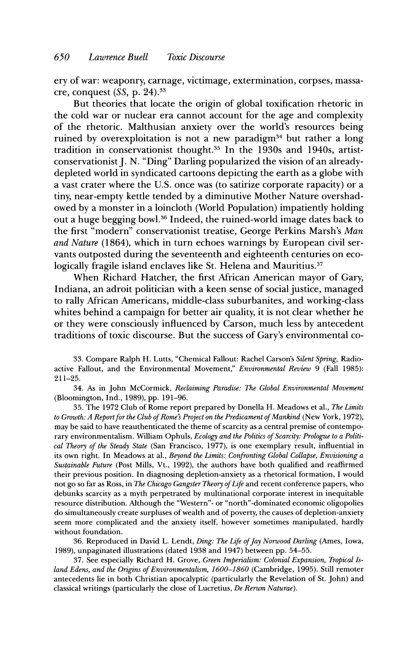**ery of war: weaponry, carnage, victimage, extermination, corpses, massacre, conquest (SS, p. 24).33** 

**But theories that locate the origin of global toxification rhetoric in the cold war or nuclear era cannot account for the age and complexity of the rhetoric. Malthusian anxiety over the world's resources being ruined by overexploitation is not a new paradigm34 but rather a long tradition in conservationist thought.35 In the 1930s and 1940s, artist**conservationist J. N. "Ding" Darling popularized the vision of an already**depleted world in syndicated cartoons depicting the earth as a globe with a vast crater where the U.S. once was (to satirize corporate rapacity) or a tiny, near-empty kettle tended by a diminutive Mother Nature overshadowed by a monster in a loincloth (World Population) impatiently holding out a huge begging bowl.36 Indeed, the ruined-world image dates back to the first "modern" conservationist treatise, George Perkins Marsh's Man and Nature (1864), which in turn echoes warnings by European civil servants outposted during the seventeenth and eighteenth centuries on ecologically fragile island enclaves like St. Helena and Mauritius.37** 

**When Richard Hatcher, the first African American mayor of Gary, Indiana, an adroit politician with a keen sense of social justice, managed to rally African Americans, middle-class suburbanites, and working-class whites behind a campaign for better air quality, it is not clear whether he or they were consciously influenced by Carson, much less by antecedent traditions of toxic discourse. But the success of Gary's environmental co-**

**33. Compare Ralph H. Lutts, "Chemical Fallout: Rachel Carson's Silent Spring, Radioactive Fallout, and the Environmental Movement," Environmental Review 9 (Fall 1985): 211-25.** 

**34. As in John McCormick, Reclaiming Paradise: The Global Environmental Movement (Bloomington, Ind., 1989), pp. 191-96.** 

**35. The 1972 Club of Rome report prepared by Donella H. Meadows et al., The Limits to Growth: A Report for the Club of Rome's Project on the Predicament of Mankind (New York, 1972), may be said to have reauthenticated the theme of scarcity as a central premise of contemporary environmentalism. William Ophuls, Ecology and the Politics of Scarcity: Prologue to a Political Theory of the Steady State (San Francisco, 1977), is one exemplary result, influential in its own right. In Meadows at al., Beyond the Limits: Confronting Global Collapse, Envisioning a Sustainable Future (Post Mills, Vt., 1992), the authors have both qualified and reaffirmed their previous position. In diagnosing depletion-anxiety as a rhetorical formation, I would not go so far as Ross, in The Chicago Gangster Theory of Life and recent conference papers, who debunks scarcity as a myth perpetrated by multinational corporate interest in inequitable resource distribution. Although the "Western"- or "north"-dominated economic oligopolies do simultaneously create surpluses of wealth and of poverty, the causes of depletion-anxiety seem more complicated and the anxiety itself, however sometimes manipulated, hardly without foundation.** 

36. Reproduced in David L. Lendt, *Ding: The Life of Jay Norwood Darling (Ames, Iowa,* **1989), unpaginated illustrations (dated 1938 and 1947) between pp. 54-55.** 

**37. See especially Richard H. Grove, Green Imperialism: Colonial Expansion, Tropical Island Edens, and the Origins of Environmentalism, 1600-1860 (Cambridge, 1995). Still remoter antecedents lie in both Christian apocalyptic (particularly the Revelation of St. John) and classical writings (particularly the close of Lucretius, De Rerum Naturae).**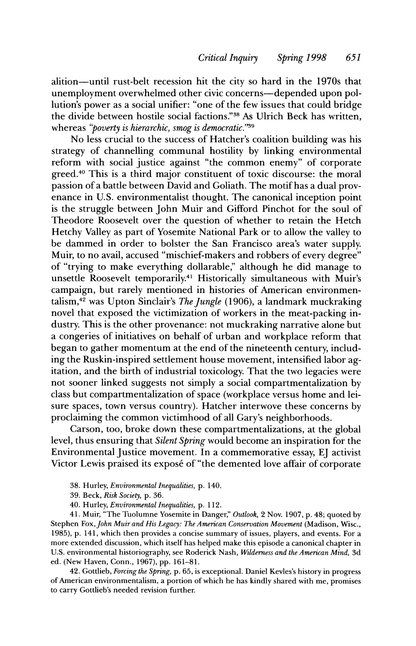**alition-until rust-belt recession hit the city so hard in the 1970s that unemployment overwhelmed other civic concerns-depended upon pollution's power as a social unifier: "one of the few issues that could bridge the divide between hostile social factions."38 As Ulrich Beck has written, whereas "poverty is hierarchic, smog is democratic."39** 

**No less crucial to the success of Hatcher's coalition building was his strategy of channelling communal hostility by linking environmental reform with social justice against "the common enemy" of corporate greed.40 This is a third major constituent of toxic discourse: the moral passion of a battle between David and Goliath. The motif has a dual provenance in U.S. environmentalist thought. The canonical inception point is the struggle between John Muir and Gifford Pinchot for the soul of Theodore Roosevelt over the question of whether to retain the Hetch Hetchy Valley as part of Yosemite National Park or to allow the valley to be dammed in order to bolster the San Francisco area's water supply. Muir, to no avail, accused "mischief-makers and robbers of every degree" of "trying to make everything dollarable," although he did manage to unsettle Roosevelt temporarily.41 Historically simultaneous with Muir's campaign, but rarely mentioned in histories of American environmen**talism,<sup>42</sup> was Upton Sinclair's The Jungle (1906), a landmark muckraking **novel that exposed the victimization of workers in the meat-packing industry. This is the other provenance: not muckraking narrative alone but a congeries of initiatives on behalf of urban and workplace reform that began to gather momentum at the end of the nineteenth century, including the Ruskin-inspired settlement house movement, intensified labor agitation, and the birth of industrial toxicology. That the two legacies were not sooner linked suggests not simply a social compartmentalization by class but compartmentalization of space (workplace versus home and leisure spaces, town versus country). Hatcher interwove these concerns by proclaiming the common victimhood of all Gary's neighborhoods.** 

**Carson, too, broke down these compartmentalizations, at the global level, thus ensuring that Silent Spring would become an inspiration for the Environmental Justice movement. In a commemorative essay, EJ activist Victor Lewis praised its expose of "the demented love affair of corporate** 

- **38. Hurley, Environmental Inequalities, p. 140.**
- **39. Beck, Risk Society, p. 36.**
- **40. Hurley, Environmental Inequalities, p. 112.**

**41. Muir, "The Tuolumne Yosemite in Danger," Outlook, 2 Nov. 1907, p. 48; quoted by**  Stephen Fox, *John Muir and His Legacy: The American Conservation Movement (Madison, Wisc.,* **1985), p. 141, which then provides a concise summary of issues, players, and events. For a more extended discussion, which itself has helped make this episode a canonical chapter in U.S. environmental historiography, see Roderick Nash, Wilderness and the American Mind, 3d ed. (New Haven, Conn., 1967), pp. 161-81.** 

**42. Gottlieb, Forcing the Spring, p. 65, is exceptional. Daniel Kevles's history in progress of American environmentalism, a portion of which he has kindly shared with me, promises to carry Gottlieb's needed revision further.**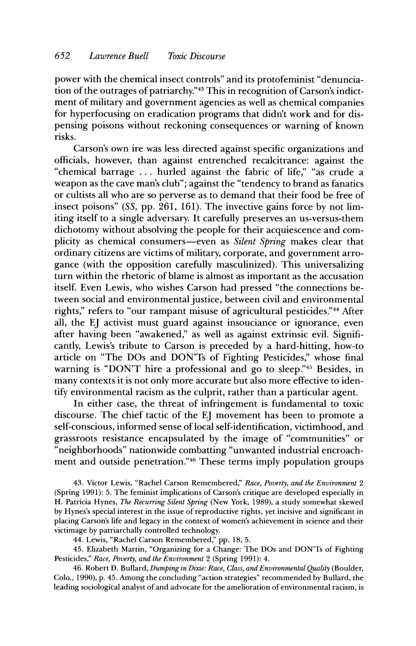**power with the chemical insect controls" and its protofeminist "denunciation of the outrages of patriarchy."43 This in recognition of Carson's indictment of military and government agencies as well as chemical companies for hyperfocusing on eradication programs that didn't work and for dispensing poisons without reckoning consequences or warning of known risks.** 

**Carson's own ire was less directed against specific organizations and officials, however, than against entrenched recalcitrance: against the "chemical barrage ... hurled against the fabric of life," "as crude a weapon as the cave man's club"; against the "tendency to brand as fanatics or cultists all who are so perverse as to demand that their food be free of insect poisons" (SS, pp. 261, 161). The invective gains force by not limiting itself to a single adversary. It carefully preserves an us-versus-them dichotomy without absolving the people for their acquiescence and com**plicity as chemical consumers-even as *Silent Spring* makes clear that **ordinary citizens are victims of military, corporate, and government arrogance (with the opposition carefully masculinized). This universalizing turn within the rhetoric of blame is almost as important as the accusation itself. Even Lewis, who wishes Carson had pressed "the connections between social and environmental justice, between civil and environmental rights," refers to "our rampant misuse of agricultural pesticides."44 After all, the EJ activist must guard against insouciance or ignorance, even after having been "awakened," as well as against extrinsic evil. Significantly, Lewis's tribute to Carson is preceded by a hard-hitting, how-to article on "The DOs and DON'Ts of Fighting Pesticides," whose final warning is "DON'T hire a professional and go to sleep."45 Besides, in many contexts it is not only more accurate but also more effective to identify environmental racism as the culprit, rather than a particular agent.** 

**In either case, the threat of infringement is fundamental to toxic discourse. The chief tactic of the EJ movement has been to promote a self-conscious, informed sense of local self-identification, victimhood, and grassroots resistance encapsulated by the image of "communities" or "neighborhoods" nationwide combatting "unwanted industrial encroachment and outside penetration."46 These terms imply population groups** 

**43. Victor Lewis, "Rachel Carson Remembered," Race, Poverty, and the Environment 2 (Spring 1991): 5. The feminist implications of Carson's critique are developed especially in H. Patricia Hynes, The Recurring Silent Spring (New York, 1989), a study somewhat skewed by Hynes's special interest in the issue of reproductive rights, yet incisive and significant in placing Carson's life and legacy in the context of women's achievement in science and their victimage by patriarchally controlled technology.** 

**44. Lewis, "Rachel Carson Remembered," pp. 18, 5.** 

**45. Elizabeth Martin, "Organizing for a Change: The DOs and DON'Ts of Fighting Pesticides," Race, Poverty, and the Environment 2 (Spring 1991): 4.** 

**46. Robert D. Bullard, Dumping in Dixie: Race, Class, and Environmental Quality (Boulder, Colo., 1990), p. 45. Among the concluding "action strategies" recommended by Bullard, the leading sociological analyst of and advocate for the amelioration of environmental racism, is**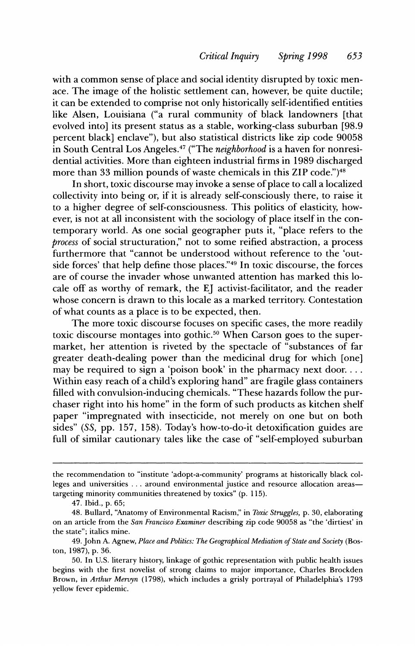**with a common sense of place and social identity disrupted by toxic menace. The image of the holistic settlement can, however, be quite ductile; it can be extended to comprise not only historically self-identified entities like Alsen, Louisiana ("a rural community of black landowners [that evolved into] its present status as a stable, working-class suburban [98.9 percent black] enclave"), but also statistical districts like zip code 90058 in South Central Los Angeles.47 ("The neighborhood is a haven for nonresidential activities. More than eighteen industrial firms in 1989 discharged more than 33 million pounds of waste chemicals in this ZIP code.")48** 

**In short, toxic discourse may invoke a sense of place to call a localized collectivity into being or, if it is already self-consciously there, to raise it to a higher degree of self-consciousness. This politics of elasticity, however, is not at all inconsistent with the sociology of place itself in the contemporary world. As one social geographer puts it, "place refers to the process of social structuration," not to some reified abstraction, a process furthermore that "cannot be understood without reference to the 'outside forces' that help define those places."49 In toxic discourse, the forces are of course the invader whose unwanted attention has marked this locale off as worthy of remark, the EJ activist-facilitator, and the reader whose concern is drawn to this locale as a marked territory. Contestation of what counts as a place is to be expected, then.** 

**The more toxic discourse focuses on specific cases, the more readily toxic discourse montages into gothic.50 When Carson goes to the supermarket, her attention is riveted by the spectacle of "substances of far greater death-dealing power than the medicinal drug for which [one] may be required to sign a 'poison book' in the pharmacy next door.... Within easy reach of a child's exploring hand" are fragile glass containers filled with convulsion-inducing chemicals. "These hazards follow the purchaser right into his home" in the form of such products as kitchen shelf paper "impregnated with insecticide, not merely on one but on both sides" (SS, pp. 157, 158). Today's how-to-do-it detoxification guides are full of similar cautionary tales like the case of "self-employed suburban** 

**the recommendation to "institute 'adopt-a-community' programs at historically black colleges and universities ... around environmental justice and resource allocation areastargeting minority communities threatened by toxics" (p. 115).** 

**<sup>47.</sup> Ibid., p. 65;** 

**<sup>48.</sup> Bullard, "Anatomy of Environmental Racism," in Toxic Struggles, p. 30, elaborating on an article from the San Francisco Examiner describing zip code 90058 as "the 'dirtiest' in the state"; italics mine.** 

**<sup>49.</sup> John A. Agnew, Place and Politics: The Geographical Mediation of State and Society (Boston, 1987), p. 36.** 

**<sup>50.</sup> In U.S. literary history, linkage of gothic representation with public health issues begins with the first novelist of strong claims to major importance, Charles Brockden Brown, in Arthur Mervyn (1798), which includes a grisly portrayal of Philadelphia's 1793 yellow fever epidemic.**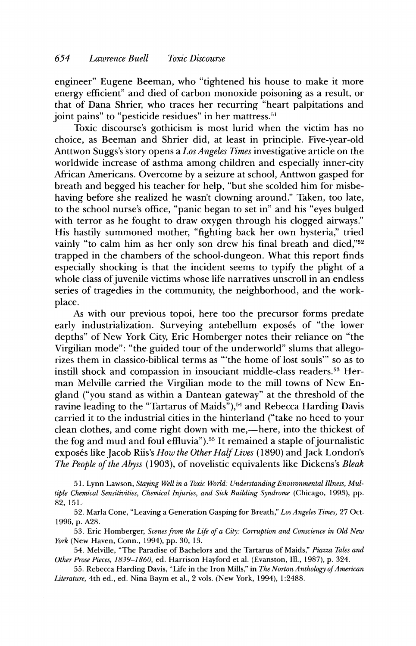**engineer" Eugene Beeman, who "tightened his house to make it more energy efficient" and died of carbon monoxide poisoning as a result, or that of Dana Shrier, who traces her recurring "heart palpitations and joint pains" to "pesticide residues" in her mattress.51** 

**Toxic discourse's gothicism is most lurid when the victim has no choice, as Beeman and Shrier did, at least in principle. Five-year-old Anttwon Suggs's story opens a Los Angeles Times investigative article on the worldwide increase of asthma among children and especially inner-city African Americans. Overcome by a seizure at school, Anttwon gasped for breath and begged his teacher for help, "but she scolded him for misbehaving before she realized he wasn't clowning around." Taken, too late, to the school nurse's office, "panic began to set in" and his "eyes bulged with terror as he fought to draw oxygen through his clogged airways." His hastily summoned mother, "fighting back her own hysteria," tried**  vainly "to calm him as her only son drew his final breath and died,"<sup>52</sup> **trapped in the chambers of the school-dungeon. What this report finds especially shocking is that the incident seems to typify the plight of a**  whole class of juvenile victims whose life narratives unscroll in an endless **series of tragedies in the community, the neighborhood, and the workplace.** 

**As with our previous topoi, here too the precursor forms predate**  early industrialization. Surveying antebellum exposés of "the lower **depths" of New York City, Eric Homberger notes their reliance on "the Virgilian mode": "the guided tour of the underworld" slums that allegorizes them in classico-biblical terms as "'the home of lost souls"' so as to instill shock and compassion in insouciant middle-class readers.53 Herman Melville carried the Virgilian mode to the mill towns of New England ("you stand as within a Dantean gateway" at the threshold of the**  ravine leading to the "Tartarus of Maids"),<sup>54</sup> and Rebecca Harding Davis **carried it to the industrial cities in the hinterland ("take no heed to your**  clean clothes, and come right down with me,—here, into the thickest of the fog and mud and foul effluvia").<sup>55</sup> It remained a staple of journalistic **exposes like Jacob Riis's How the Other Half Lives (1890) and Jack London's The People of the Abyss (1903), of novelistic equivalents like Dickens's Bleak** 

**51. Lynn Lawson, Staying Well in a Toxic World: Understanding Environmental Illness, Multiple Chemical Sensitivities, Chemical Injuries, and Sick Building Syndrome (Chicago, 1993), pp. 82, 151.** 

**52. Maria Cone, "Leaving a Generation Gasping for Breath," Los Angeles Times, 27 Oct. 1996, p. A28.** 

**53. Eric Homberger, Scenes from the Life of a City: Corruption and Conscience in Old New York (New Haven, Conn., 1994), pp. 30, 13.** 

**54. Melville, "The Paradise of Bachelors and the Tartarus of Maids," Piazza Tales and Other Prose Pieces, 1839-1860, ed. Harrison Hayford et al. (Evanston, Ill., 1987), p. 324.** 

**55. Rebecca Harding Davis, "Life in the Iron Mills," in The Norton Anthology of American Literature, 4th ed., ed. Nina Baym et al., 2 vols. (New York, 1994), 1:2488.**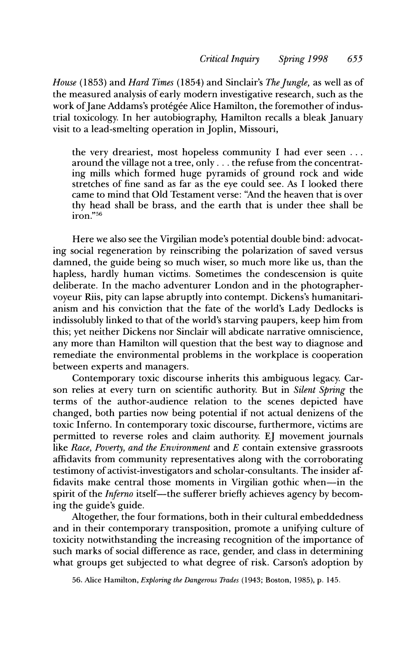House (1853) and Hard Times (1854) and Sinclair's The Jungle, as well as of **the measured analysis of early modern investigative research, such as the**  work of Jane Addams's protégée Alice Hamilton, the foremother of indus**trial toxicology. In her autobiography, Hamilton recalls a bleak January visit to a lead-smelting operation in Joplin, Missouri,** 

**the very dreariest, most hopeless community I had ever seen ... around the village not a tree, only ... the refuse from the concentrating mills which formed huge pyramids of ground rock and wide stretches of fine sand as far as the eye could see. As I looked there came to mind that Old Testament verse: "And the heaven that is over thy head shall be brass, and the earth that is under thee shall be iron."56** 

**Here we also see the Virgilian mode's potential double bind: advocating social regeneration by reinscribing the polarization of saved versus damned, the guide being so much wiser, so much more like us, than the hapless, hardly human victims. Sometimes the condescension is quite deliberate. In the macho adventurer London and in the photographervoyeur Riis, pity can lapse abruptly into contempt. Dickens's humanitarianism and his conviction that the fate of the world's Lady Dedlocks is indissolubly linked to that of the world's starving paupers, keep him from this; yet neither Dickens nor Sinclair will abdicate narrative omniscience, any more than Hamilton will question that the best way to diagnose and remediate the environmental problems in the workplace is cooperation between experts and managers.** 

**Contemporary toxic discourse inherits this ambiguous legacy. Carson relies at every turn on scientific authority. But in Silent Spring the terms of the author-audience relation to the scenes depicted have changed, both parties now being potential if not actual denizens of the toxic Inferno. In contemporary toxic discourse, furthermore, victims are permitted to reverse roles and claim authority. EJ movement journals like Race, Poverty, and the Environment and E contain extensive grassroots affidavits from community representatives along with the corroborating testimony of activist-investigators and scholar-consultants. The insider affidavits make central those moments in Virgilian gothic when-in the**  spirit of the *Inferno* itself—the sufferer briefly achieves agency by becom**ing the guide's guide.** 

**Altogether, the four formations, both in their cultural embeddedness and in their contemporary transposition, promote a unifying culture of toxicity notwithstanding the increasing recognition of the importance of such marks of social difference as race, gender, and class in determining what groups get subjected to what degree of risk. Carson's adoption by** 

**56. Alice Hamilton, Exploring the Dangerous Trades (1943; Boston, 1985), p. 145.**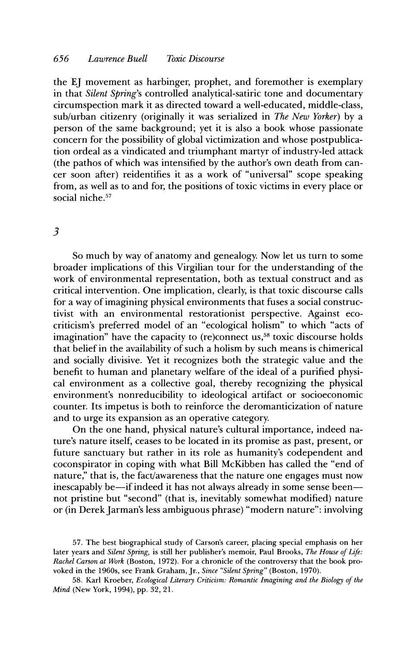**the EJ movement as harbinger, prophet, and foremother is exemplary in that Silent Spring's controlled analytical-satiric tone and documentary circumspection mark it as directed toward a well-educated, middle-class, sub/urban citizenry (originally it was serialized in The New Yorker) by a person of the same background; yet it is also a book whose passionate concern for the possibility of global victimization and whose postpublication ordeal as a vindicated and triumphant martyr of industry-led attack (the pathos of which was intensified by the author's own death from cancer soon after) reidentifies it as a work of "universal" scope speaking from, as well as to and for, the positions of toxic victims in every place or social niche.57** 

#### **3**

**So much by way of anatomy and genealogy. Now let us turn to some broader implications of this Virgilian tour for the understanding of the work of environmental representation, both as textual construct and as critical intervention. One implication, clearly, is that toxic discourse calls for a way of imagining physical environments that fuses a social constructivist with an environmental restorationist perspective. Against ecocriticism's preferred model of an "ecological holism" to which "acts of**  imagination" have the capacity to (re)connect us,<sup>58</sup> toxic discourse holds **that belief in the availability of such a holism by such means is chimerical and socially divisive. Yet it recognizes both the strategic value and the benefit to human and planetary welfare of the ideal of a purified physical environment as a collective goal, thereby recognizing the physical environment's nonreducibility to ideological artifact or socioeconomic counter. Its impetus is both to reinforce the deromanticization of nature and to urge its expansion as an operative category.** 

**On the one hand, physical nature's cultural importance, indeed nature's nature itself, ceases to be located in its promise as past, present, or future sanctuary but rather in its role as humanity's codependent and coconspirator in coping with what Bill McKibben has called the "end of nature," that is, the fact/awareness that the nature one engages must now**  inescapably be—if indeed it has not always already in some sense been **not pristine but "second" (that is, inevitably somewhat modified) nature**  or (in Derek Jarman's less ambiguous phrase) "modern nature": involving

**<sup>57.</sup> The best biographical study of Carson's career, placing special emphasis on her later years and Silent Spring, is still her publisher's memoir, Paul Brooks, The House of Life: Rachel Carson at Work (Boston, 1972). For a chronicle of the controversy that the book provoked in the 1960s, see Frank Graham, Jr., Since "Silent Spring" (Boston, 1970).** 

**<sup>58.</sup> Karl Kroeber, Ecological Literary Criticism: Romantic Imagining and the Biology of the Mind (New York, 1994), pp. 32, 21.**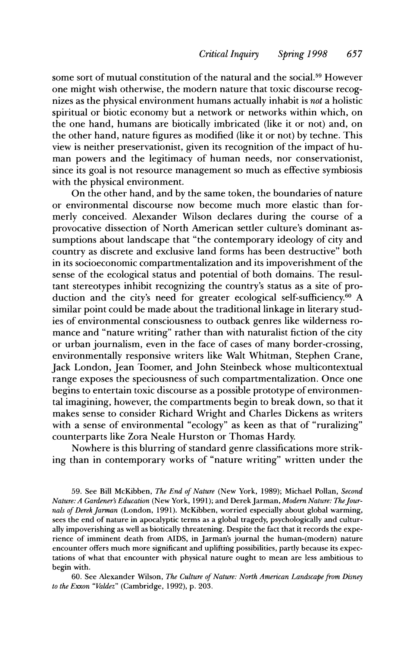**some sort of mutual constitution of the natural and the social.59 However one might wish otherwise, the modern nature that toxic discourse recognizes as the physical environment humans actually inhabit is not a holistic spiritual or biotic economy but a network or networks within which, on the one hand, humans are biotically imbricated (like it or not) and, on the other hand, nature figures as modified (like it or not) by techne. This view is neither preservationist, given its recognition of the impact of human powers and the legitimacy of human needs, nor conservationist, since its goal is not resource management so much as effective symbiosis with the physical environment.** 

**On the other hand, and by the same token, the boundaries of nature or environmental discourse now become much more elastic than formerly conceived. Alexander Wilson declares during the course of a provocative dissection of North American settler culture's dominant assumptions about landscape that "the contemporary ideology of city and country as discrete and exclusive land forms has been destructive" both in its socioeconomic compartmentalization and its impoverishment of the sense of the ecological status and potential of both domains. The resultant stereotypes inhibit recognizing the country's status as a site of production and the city's need for greater ecological self-sufficiency.60 A similar point could be made about the traditional linkage in literary studies of environmental consciousness to outback genres like wilderness romance and "nature writing" rather than with naturalist fiction of the city or urban journalism, even in the face of cases of many border-crossing, environmentally responsive writers like Walt Whitman, Stephen Crane, Jack London, Jean Toomer, and John Steinbeck whose multicontextual range exposes the speciousness of such compartmentalization. Once one begins to entertain toxic discourse as a possible prototype of environmental imagining, however, the compartments begin to break down, so that it makes sense to consider Richard Wright and Charles Dickens as writers with a sense of environmental "ecology" as keen as that of "ruralizing" counterparts like Zora Neale Hurston or Thomas Hardy.** 

**Nowhere is this blurring of standard genre classifications more striking than in contemporary works of "nature writing" written under the** 

**59. See Bill McKibben, The End of Nature (New York, 1989); Michael Pollan, Second**  Nature: A Gardener's Education (New York, 1991); and Derek Jarman, Modern Nature: The Jour**nals of Derek Jarman (London, 1991). McKibben, worried especially about global warming, sees the end of nature in apocalyptic terms as a global tragedy, psychologically and culturally impoverishing as well as biotically threatening. Despite the fact that it records the experience of imminent death from AIDS, in Jarman's journal the human-(modern) nature encounter offers much more significant and uplifting possibilities, partly because its expectations of what that encounter with physical nature ought to mean are less ambitious to begin with.** 

**60. See Alexander Wilson, The Culture of Nature: North American Landscape from Disney to the Exxon "Valdez" (Cambridge, 1992), p. 203.**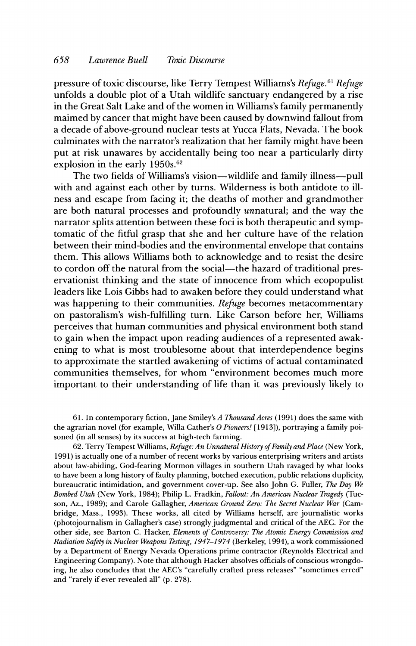**pressure of toxic discourse, like Terry Tempest Williams's Refuge.61 Refuge unfolds a double plot of a Utah wildlife sanctuary endangered by a rise in the Great Salt Lake and of the women in Williams's family permanently maimed by cancer that might have been caused by downwind fallout from a decade of above-ground nuclear tests at Yucca Flats, Nevada. The book culminates with the narrator's realization that her family might have been put at risk unawares by accidentally being too near a particularly dirty explosion in the early 1950s.62** 

**The two fields of Williams's vision-wildlife and family illness-pull with and against each other by turns. Wilderness is both antidote to illness and escape from facing it; the deaths of mother and grandmother are both natural processes and profoundly unnatural; and the way the narrator splits attention between these foci is both therapeutic and symptomatic of the fitful grasp that she and her culture have of the relation between their mind-bodies and the environmental envelope that contains them. This allows Williams both to acknowledge and to resist the desire**  to cordon off the natural from the social—the hazard of traditional pres**ervationist thinking and the state of innocence from which ecopopulist leaders like Lois Gibbs had to awaken before they could understand what was happening to their communities. Refuge becomes metacommentary on pastoralism's wish-fulfilling turn. Like Carson before her, Williams perceives that human communities and physical environment both stand to gain when the impact upon reading audiences of a represented awakening to what is most troublesome about that interdependence begins to approximate the startled awakening of victims of actual contaminated communities themselves, for whom "environment becomes much more important to their understanding of life than it was previously likely to** 

**61. In contemporary fiction, Jane Smiley's A Thousand Acres (1991) does the same with the agrarian novel (for example, Willa Gather's O Pioneers! [1913]), portraying a family poisoned (in all senses) by its success at high-tech farming.** 

**62. Terry Tempest Williams, Refuge: An Unnatural History of Family and Place (New York, 1991) is actually one of a number of recent works by various enterprising writers and artists about law-abiding, God-fearing Mormon villages in southern Utah ravaged by what looks to have been a long history of faulty planning, botched execution, public relations duplicity, bureaucratic intimidation, and government cover-up. See also John G. Fuller, The Day We Bombed Utah (New York, 1984); Philip L. Fradkin, Fallout: An American Nuclear Tragedy (Tucson, Az., 1989); and Carole Gallagher, American Ground Zero: The Secret Nuclear War (Cambridge, Mass., 1993). These works, all cited by Williams herself, are journalistic works (photojournalism in Gallagher's case) strongly judgmental and critical of the AEC. For the other side, see Barton C. Hacker, Elements of Controversy: The Atomic Energy Commission and Radiation Safety in Nuclear Weapons Testing, 1947-1974 (Berkeley, 1994), a work commissioned by a Department of Energy Nevada Operations prime contractor (Reynolds Electrical and Engineering Company). Note that although Hacker absolves officials of conscious wrongdoing, he also concludes that the AEC's "carefully crafted press releases" "sometimes erred" and "rarely if ever revealed all" (p. 278).**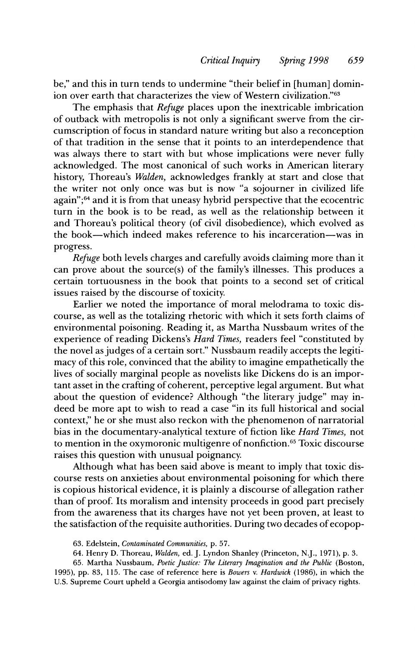**be," and this in turn tends to undermine "their belief in [human] dominion over earth that characterizes the view of Western civilization."63** 

**The emphasis that Refuge places upon the inextricable imbrication of outback with metropolis is not only a significant swerve from the circumscription of focus in standard nature writing but also a reconception of that tradition in the sense that it points to an interdependence that was always there to start with but whose implications were never fully acknowledged. The most canonical of such works in American literary history, Thoreau's Walden, acknowledges frankly at start and close that the writer not only once was but is now "a sojourner in civilized life again";64 and it is from that uneasy hybrid perspective that the ecocentric turn in the book is to be read, as well as the relationship between it and Thoreau's political theory (of civil disobedience), which evolved as the book-which indeed makes reference to his incarceration-was in progress.** 

**Refuge both levels charges and carefully avoids claiming more than it can prove about the source(s) of the family's illnesses. This produces a certain tortuousness in the book that points to a second set of critical issues raised by the discourse of toxicity.** 

**Earlier we noted the importance of moral melodrama to toxic discourse, as well as the totalizing rhetoric with which it sets forth claims of environmental poisoning. Reading it, as Martha Nussbaum writes of the experience of reading Dickens's Hard Times, readers feel "constituted by the novel as judges of a certain sort." Nussbaum readily accepts the legitimacy of this role, convinced that the ability to imagine empathetically the lives of socially marginal people as novelists like Dickens do is an important asset in the crafting of coherent, perceptive legal argument. But what about the question of evidence? Although "the literary judge" may indeed be more apt to wish to read a case "in its full historical and social context," he or she must also reckon with the phenomenon of narratorial bias in the documentary-analytical texture of fiction like Hard Times, not to mention in the oxymoronic multigenre of nonfiction.65 Toxic discourse raises this question with unusual poignancy.** 

**Although what has been said above is meant to imply that toxic discourse rests on anxieties about environmental poisoning for which there is copious historical evidence, it is plainly a discourse of allegation rather than of proof. Its moralism and intensity proceeds in good part precisely from the awareness that its charges have not yet been proven, at least to the satisfaction of the requisite authorities. During two decades of ecopop-**

**64. Henry D. Thoreau, Walden, ed. J. Lyndon Shanley (Princeton, N.J., 1971), p. 3.** 

**65. Martha Nussbaum, Poetic Justice: The Literary Imagination and the Public (Boston, 1995), pp. 83, 115. The case of reference here is Bowers v. Hardwick (1986), in which the U.S. Supreme Court upheld a Georgia antisodomy law against the claim of privacy rights.** 

**<sup>63.</sup> Edelstein, Contaminated Communities, p. 57.**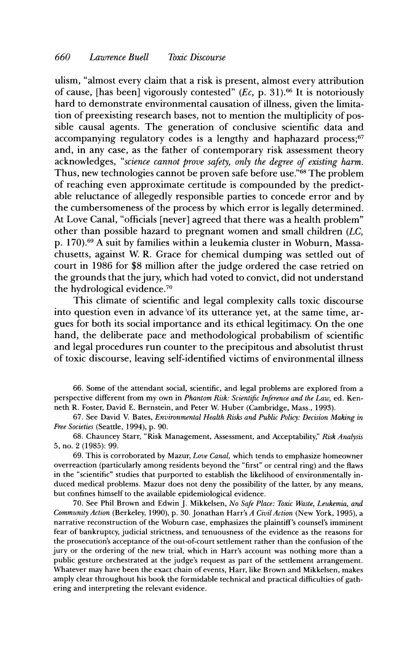**ulism, "almost every claim that a risk is present, almost every attribution of cause, [has been] vigorously contested" (Ec, p. 31).66 It is notoriously hard to demonstrate environmental causation of illness, given the limitation of preexisting research bases, not to mention the multiplicity of possible causal agents. The generation of conclusive scientific data and accompanying regulatory codes is a lengthy and haphazard process;67 and, in any case, as the father of contemporary risk assessment theory acknowledges, "science cannot prove safety, only the degree of existing harm. Thus, new technologies cannot be proven safe before use."68 The problem of reaching even approximate certitude is compounded by the predictable reluctance of allegedly responsible parties to concede error and by the cumbersomeness of the process by which error is legally determined. At Love Canal, "officials [never] agreed that there was a health problem" other than possible hazard to pregnant women and small children (LC, p. 170).69 A suit by families within a leukemia cluster in Woburn, Massachusetts, against W. R. Grace for chemical dumping was settled out of court in 1986 for \$8 million after the judge ordered the case retried on the grounds that the jury, which had voted to convict, did not understand the hydrological evidence.70** 

**This climate of scientific and legal complexity calls toxic discourse into question even in advance 'of its utterance yet, at the same time, argues for both its social importance and its ethical legitimacy. On the one hand, the deliberate pace and methodological probabilism of scientific and legal procedures run counter to the precipitous and absolutist thrust of toxic discourse, leaving self-identified victims of environmental illness** 

**66. Some of the attendant social, scientific, and legal problems are explored from a perspective different from my own in Phantom Risk: Scientific Inference and the Law, ed. Kenneth R. Foster, David E. Bernstein, and Peter W. Huber (Cambridge, Mass., 1993).** 

**67. See David V. Bates, Environmental Health Risks and Public Policy: Decision Making in Free Societies (Seattle, 1994), p. 90.** 

**68. Chauncey Starr, "Risk Management, Assessment, and Acceptability," Risk Analysis 5, no. 2 (1985): 99.** 

**69. This is corroborated by Mazur, Love Canal, which tends to emphasize homeowner overreaction (particularly among residents beyond the "first" or central ring) and the flaws in the "scientific" studies that purported to establish the likelihood of environmentally induced medical problems. Mazur does not deny the possibility of the latter, by any means, but confines himself to the available epidemiological evidence.** 

**70. See Phil Brown and Edwin J. Mikkelsen, No Safe Place: Toxic Waste, Leukemia, and Community Action (Berkeley, 1990), p. 30. Jonathan Harr's A Civil Action (New York, 1995), a narrative reconstruction of the Woburn case, emphasizes the plaintiff's counsel's imminent fear of bankruptcy, judicial strictness, and tenuousness of the evidence as the reasons for the prosecution's acceptance of the out-of-court settlement rather than the confusion of the jury or the ordering of the new trial, which in Harr's account was nothing more than a public gesture orchestrated at the judge's request as part of the settlement arrangement. Whatever may have been the exact chain of events, Harr, like Brown and Mikkelsen, makes amply clear throughout his book the formidable technical and practical difficulties of gathering and interpreting the relevant evidence.**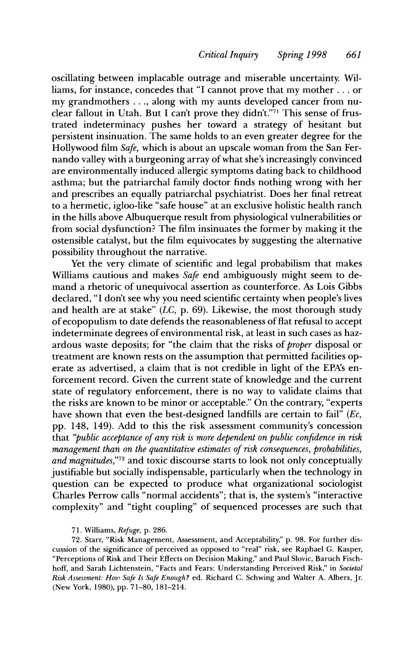**oscillating between implacable outrage and miserable uncertainty. Williams, for instance, concedes that "I cannot prove that my mother ... or my grandmothers . . ., along with my aunts developed cancer from nuclear fallout in Utah. But I can't prove they didn't."71 This sense of frustrated indeterminacy pushes her toward a strategy of hesitant but persistent insinuation. The same holds to an even greater degree for the Hollywood film Safe, which is about an upscale woman from the San Fernando valley with a burgeoning array of what she's increasingly convinced are environmentally induced allergic symptoms dating back to childhood asthma; but the patriarchal family doctor finds nothing wrong with her and prescribes an equally patriarchal psychiatrist. Does her final retreat to a hermetic, igloo-like "safe house" at an exclusive holistic health ranch in the hills above Albuquerque result from physiological vulnerabilities or from social dysfunction? The film insinuates the former by making it the ostensible catalyst, but the film equivocates by suggesting the alternative possibility throughout the narrative.** 

**Yet the very climate of scientific and legal probabilism that makes Williams cautious and makes Safe end ambiguously might seem to demand a rhetoric of unequivocal assertion as counterforce. As Lois Gibbs declared, "I don't see why you need scientific certainty when people's lives and health are at stake" (LC, p. 69). Likewise, the most thorough study of ecopopulism to date defends the reasonableness of flat refusal to accept indeterminate degrees of environmental risk, at least in such cases as hazardous waste deposits; for "the claim that the risks of proper disposal or treatment are known rests on the assumption that permitted facilities operate as advertised, a claim that is not credible in light of the EPA's enforcement record. Given the current state of knowledge and the current state of regulatory enforcement, there is no way to validate claims that the risks are known to be minor or acceptable." On the contrary, "experts have shown that even the best-designed landfills are certain to fail" (Ec, pp. 148, 149). Add to this the risk assessment community's concession that "public acceptance of any risk is more dependent on public confidence in risk management than on the quantitative estimates of risk consequences, probabilities, and magnitudes,"72 and toxic discourse starts to look not only conceptually justifiable but socially indispensable, particularly when the technology in question can be expected to produce what organizational sociologist Charles Perrow calls "normal accidents"; that is, the system's "interactive complexity" and "tight coupling" of sequenced processes are such that** 

**71. Williams, Refuge, p. 286.** 

**72. Starr, "Risk Management, Assessment, and Acceptability," p. 98. For further discussion of the significance of perceived as opposed to "real" risk, see Raphael G. Kasper, "Perceptions of Risk and Their Effects on Decision Making," and Paul Slovic, Baruch Fischhoff, and Sarah Lichtenstein, "Facts and Fears: Understanding Perceived Risk," in Societal Risk Assessment: How Safe Is Safe Enough? ed. Richard C. Schwing and Walter A. Albers, Jr. (New York, 1980), pp. 71-80, 181-214.**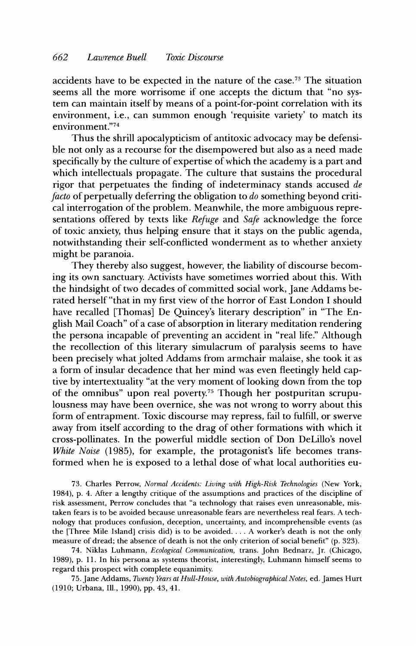**accidents have to be expected in the nature of the case.73 The situation seems all the more worrisome if one accepts the dictum that "no system can maintain itself by means of a point-for-point correlation with its environment, i.e., can summon enough 'requisite variety' to match its environment."74** 

**Thus the shrill apocalypticism of antitoxic advocacy may be defensible not only as a recourse for the disempowered but also as a need made specifically by the culture of expertise of which the academy is a part and which intellectuals propagate. The culture that sustains the procedural rigor that perpetuates the finding of indeterminacy stands accused de facto of perpetually deferring the obligation to do something beyond critical interrogation of the problem. Meanwhile, the more ambiguous representations offered by texts like Refuge and Safe acknowledge the force of toxic anxiety, thus helping ensure that it stays on the public agenda, notwithstanding their self-conflicted wonderment as to whether anxiety might be paranoia.** 

**They thereby also suggest, however, the liability of discourse becoming its own sanctuary. Activists have sometimes worried about this. With the hindsight of two decades of committed social work, Jane Addams berated herself "that in my first view of the horror of East London I should have recalled [Thomas] De Quincey's literary description" in "The English Mail Coach" of a case of absorption in literary meditation rendering the persona incapable of preventing an accident in "real life." Although the recollection of this literary simulacrum of paralysis seems to have been precisely what jolted Addams from armchair malaise, she took it as a form of insular decadence that her mind was even fleetingly held captive by intertextuality "at the very moment of looking down from the top of the omnibus" upon real poverty.75 Though her postpuritan scrupulousness may have been overnice, she was not wrong to worry about this form of entrapment. Toxic discourse may repress, fail to fulfill, or swerve away from itself according to the drag of other formations with which it cross-pollinates. In the powerful middle section of Don DeLillo's novel White Noise (1985), for example, the protagonist's life becomes transformed when he is exposed to a lethal dose of what local authorities eu-**

**73. Charles Perrow, Normal Accidents: Living with High-Risk Technologies (New York, 1984), p. 4. After a lengthy critique of the assumptions and practices of the discipline of risk assessment, Perrow concludes that "a technology that raises even unreasonable, mistaken fears is to be avoided because unreasonable fears are nevertheless real fears. A technology that produces confusion, deception, uncertainty, and incomprehensible events (as the [Three Mile Island] crisis did) is to be avoided.... A worker's death is not the only measure of dread; the absence of death is not the only criterion of social benefit" (p. 323).** 

**74. Niklas Luhmann, Ecological Communication, trans. John Bednarz, Jr. (Chicago, 1989), p. 11. In his persona as systems theorist, interestingly, Luhmann himself seems to regard this prospect with complete equanimity.** 

**75. Jane Addams, Twenty Years at Hull-House, with Autobiographical Notes, ed. James Hurt (1910; Urbana, Ill., 1990), pp. 43, 41.**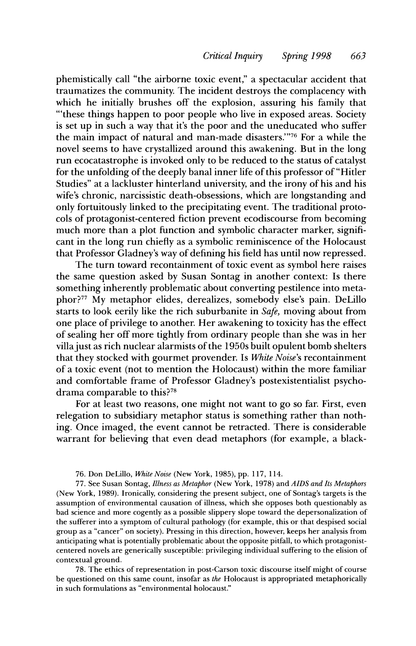**phemistically call "the airborne toxic event," a spectacular accident that traumatizes the community. The incident destroys the complacency with which he initially brushes off the explosion, assuring his family that "'these things happen to poor people who live in exposed areas. Society is set up in such a way that it's the poor and the uneducated who suffer the main impact of natural and man-made disasters."'76 For a while the novel seems to have crystallized around this awakening. But in the long run ecocatastrophe is invoked only to be reduced to the status of catalyst for the unfolding of the deeply banal inner life of this professor of "Hitler Studies" at a lackluster hinterland university, and the irony of his and his wife's chronic, narcissistic death-obsessions, which are longstanding and only fortuitously linked to the precipitating event. The traditional protocols of protagonist-centered fiction prevent ecodiscourse from becoming much more than a plot function and symbolic character marker, significant in the long run chiefly as a symbolic reminiscence of the Holocaust that Professor Gladney's way of defining his field has until now repressed.** 

**The turn toward recontainment of toxic event as symbol here raises the same question asked by Susan Sontag in another context: Is there something inherently problematic about converting pestilence into metaphor?77 My metaphor elides, derealizes, somebody else's pain. DeLillo starts to look eerily like the rich suburbanite in Safe, moving about from one place of privilege to another. Her awakening to toxicity has the effect of sealing her off more tightly from ordinary people than she was in her villajust as rich nuclear alarmists of the 1950s built opulent bomb shelters that they stocked with gourmet provender. Is White Noise's recontainment of a toxic event (not to mention the Holocaust) within the more familiar and comfortable frame of Professor Gladney's postexistentialist psychodrama comparable to this?78** 

**For at least two reasons, one might not want to go so far. First, even relegation to subsidiary metaphor status is something rather than nothing. Once imaged, the event cannot be retracted. There is considerable warrant for believing that even dead metaphors (for example, a black-**

**77. See Susan Sontag, Illness as Metaphor (New York, 1978) and AIDS and Its Metaphors (New York, 1989). Ironically, considering the present subject, one of Sontag's targets is the assumption of environmental causation of illness, which she opposes both questionably as bad science and more cogently as a possible slippery slope toward the depersonalization of the sufferer into a symptom of cultural pathology (for example, this or that despised social group as a "cancer" on society). Pressing in this direction, however, keeps her analysis from anticipating what is potentially problematic about the opposite pitfall, to which protagonistcentered novels are generically susceptible: privileging individual suffering to the elision of contextual ground.** 

**78. The ethics of representation in post-Carson toxic discourse itself might of course be questioned on this same count, insofar as the Holocaust is appropriated metaphorically in such formulations as "environmental holocaust."** 

**<sup>76.</sup> Don DeLillo, White Noise (New York, 1985), pp. 117, 114.**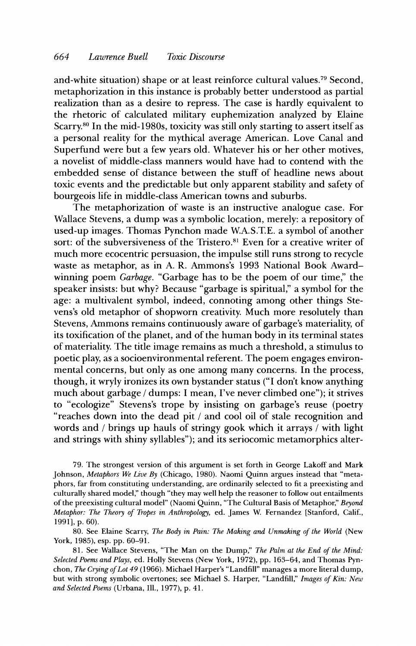**and-white situation) shape or at least reinforce cultural values.79 Second, metaphorization in this instance is probably better understood as partial realization than as a desire to repress. The case is hardly equivalent to the rhetoric of calculated military euphemization analyzed by Elaine Scarry.80 In the mid-1980s, toxicity was still only starting to assert itself as a personal reality for the mythical average American. Love Canal and Superfund were but a few years old. Whatever his or her other motives, a novelist of middle-class manners would have had to contend with the embedded sense of distance between the stuff of headline news about toxic events and the predictable but only apparent stability and safety of bourgeois life in middle-class American towns and suburbs.** 

**The metaphorization of waste is an instructive analogue case. For Wallace Stevens, a dump was a symbolic location, merely: a repository of used-up images. Thomas Pynchon made W.A.S.T.E. a symbol of another**  sort: of the subversiveness of the Tristero.<sup>81</sup> Even for a creative writer of **much more ecocentric persuasion, the impulse still runs strong to recycle waste as metaphor, as in A. R. Ammons's 1993 National Book Awardwinning poem Garbage. "Garbage has to be the poem of our time," the speaker insists: but why? Because "garbage is spiritual," a symbol for the age: a multivalent symbol, indeed, connoting among other things Stevens's old metaphor of shopworn creativity. Much more resolutely than Stevens, Ammons remains continuously aware of garbage's materiality, of its toxification of the planet, and of the human body in its terminal states of materiality. The title image remains as much a threshold, a stimulus to poetic play, as a socioenvironmental referent. The poem engages environmental concerns, but only as one among many concerns. In the process, though, it wryly ironizes its own bystander status ("I don't know anything much about garbage / dumps: I mean, I've never climbed one"); it strives to "ecologize" Stevens's trope by insisting on garbage's reuse (poetry "reaches down into the dead pit / and cool oil of stale recognition and**  words and / brings up hauls of stringy gook which it arrays / with light **and strings with shiny syllables"); and its seriocomic metamorphics alter-**

**79. The strongest version of this argument is set forth in George Lakoff and Mark Johnson, Metaphors We Live By (Chicago, 1980). Naomi Quinn argues instead that "metaphors, far from constituting understanding, are ordinarily selected to fit a preexisting and culturally shared model," though "they may well help the reasoner to follow out entailments of the preexisting cultural model" (Naomi Quinn, "The Cultural Basis of Metaphor," Beyond Metaphor: The Theory of Tropes in Anthropology, ed. James W. Fernandez [Stanford, Calif., 1991], p. 60).** 

**80. See Elaine Scarry, The Body in Pain: The Making and Unmaking of the World (New York, 1985), esp. pp. 60-91.** 

**81. See Wallace Stevens, "The Man on the Dump," The Palm at the End of the Mind: Selected Poems and Plays, ed. Holly Stevens (New York, 1972), pp. 163-64, and Thomas Pynchon, The Crying of Lot 49 (1966). Michael Harper's "Landfill" manages a more literal dump, but with strong symbolic overtones; see Michael S. Harper, "Landfill," Images of Kin: New and Selected Poems (Urbana, Ill., 1977), p. 41.**